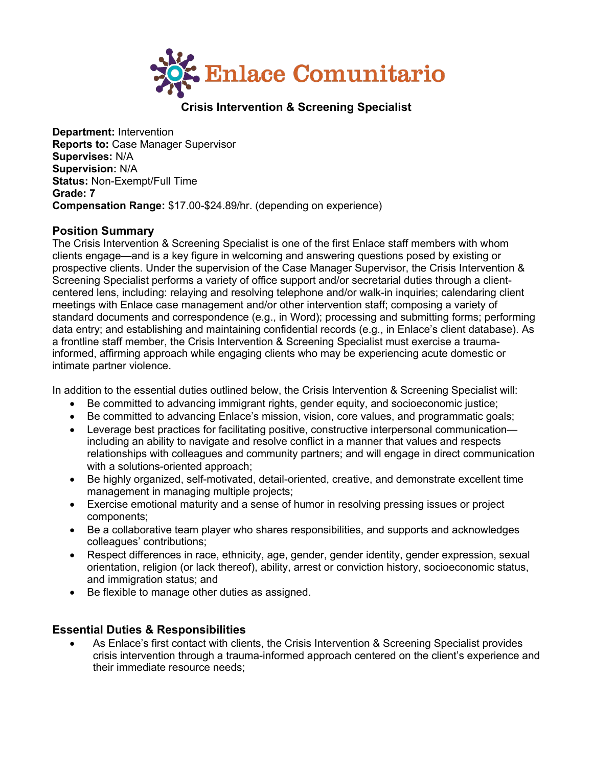

# **Crisis Intervention & Screening Specialist**

**Department:** Intervention **Reports to:** Case Manager Supervisor **Supervises:** N/A **Supervision:** N/A **Status:** Non-Exempt/Full Time **Grade: 7 Compensation Range:** \$17.00-\$24.89/hr. (depending on experience)

#### **Position Summary**

The Crisis Intervention & Screening Specialist is one of the first Enlace staff members with whom clients engage—and is a key figure in welcoming and answering questions posed by existing or prospective clients. Under the supervision of the Case Manager Supervisor, the Crisis Intervention & Screening Specialist performs a variety of office support and/or secretarial duties through a clientcentered lens, including: relaying and resolving telephone and/or walk-in inquiries; calendaring client meetings with Enlace case management and/or other intervention staff; composing a variety of standard documents and correspondence (e.g., in Word); processing and submitting forms; performing data entry; and establishing and maintaining confidential records (e.g., in Enlace's client database). As a frontline staff member, the Crisis Intervention & Screening Specialist must exercise a traumainformed, affirming approach while engaging clients who may be experiencing acute domestic or intimate partner violence.

In addition to the essential duties outlined below, the Crisis Intervention & Screening Specialist will:

- Be committed to advancing immigrant rights, gender equity, and socioeconomic justice;
- Be committed to advancing Enlace's mission, vision, core values, and programmatic goals;
- Leverage best practices for facilitating positive, constructive interpersonal communication including an ability to navigate and resolve conflict in a manner that values and respects relationships with colleagues and community partners; and will engage in direct communication with a solutions-oriented approach;
- Be highly organized, self-motivated, detail-oriented, creative, and demonstrate excellent time management in managing multiple projects;
- Exercise emotional maturity and a sense of humor in resolving pressing issues or project components;
- Be a collaborative team player who shares responsibilities, and supports and acknowledges colleagues' contributions;
- Respect differences in race, ethnicity, age, gender, gender identity, gender expression, sexual orientation, religion (or lack thereof), ability, arrest or conviction history, socioeconomic status, and immigration status; and
- Be flexible to manage other duties as assigned.

## **Essential Duties & Responsibilities**

• As Enlace's first contact with clients, the Crisis Intervention & Screening Specialist provides crisis intervention through a trauma-informed approach centered on the client's experience and their immediate resource needs;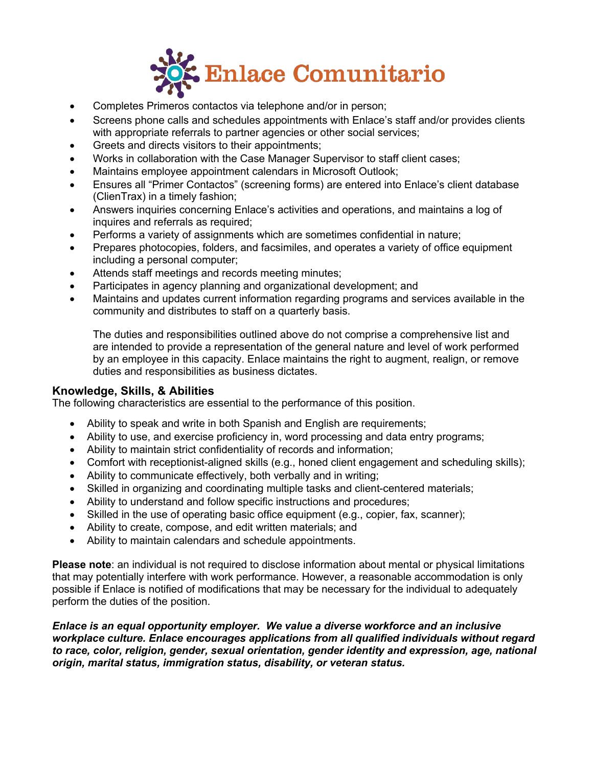

- Completes Primeros contactos via telephone and/or in person;
- Screens phone calls and schedules appointments with Enlace's staff and/or provides clients with appropriate referrals to partner agencies or other social services;
- Greets and directs visitors to their appointments;
- Works in collaboration with the Case Manager Supervisor to staff client cases;
- Maintains employee appointment calendars in Microsoft Outlook;
- Ensures all "Primer Contactos" (screening forms) are entered into Enlace's client database (ClienTrax) in a timely fashion;
- Answers inquiries concerning Enlace's activities and operations, and maintains a log of inquires and referrals as required;
- Performs a variety of assignments which are sometimes confidential in nature;
- Prepares photocopies, folders, and facsimiles, and operates a variety of office equipment including a personal computer;
- Attends staff meetings and records meeting minutes;
- Participates in agency planning and organizational development; and
- Maintains and updates current information regarding programs and services available in the community and distributes to staff on a quarterly basis.

The duties and responsibilities outlined above do not comprise a comprehensive list and are intended to provide a representation of the general nature and level of work performed by an employee in this capacity. Enlace maintains the right to augment, realign, or remove duties and responsibilities as business dictates.

## **Knowledge, Skills, & Abilities**

The following characteristics are essential to the performance of this position.

- Ability to speak and write in both Spanish and English are requirements;
- Ability to use, and exercise proficiency in, word processing and data entry programs;
- Ability to maintain strict confidentiality of records and information;
- Comfort with receptionist-aligned skills (e.g., honed client engagement and scheduling skills);
- Ability to communicate effectively, both verbally and in writing;
- Skilled in organizing and coordinating multiple tasks and client-centered materials;
- Ability to understand and follow specific instructions and procedures;
- Skilled in the use of operating basic office equipment (e.g., copier, fax, scanner);
- Ability to create, compose, and edit written materials; and
- Ability to maintain calendars and schedule appointments.

**Please note**: an individual is not required to disclose information about mental or physical limitations that may potentially interfere with work performance. However, a reasonable accommodation is only possible if Enlace is notified of modifications that may be necessary for the individual to adequately perform the duties of the position.

*Enlace is an equal opportunity employer. We value a diverse workforce and an inclusive workplace culture. Enlace encourages applications from all qualified individuals without regard to race, color, religion, gender, sexual orientation, gender identity and expression, age, national origin, marital status, immigration status, disability, or veteran status.*